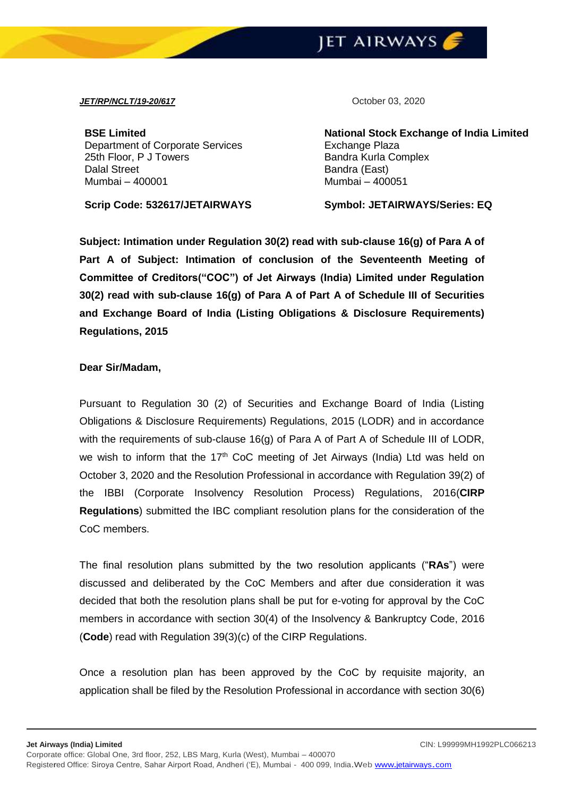

## *JET/RP/NCLT/19-20/617* October 03, 2020

**BSE Limited** Department of Corporate Services 25th Floor, P J Towers Dalal Street Mumbai – 400001

**Scrip Code: 532617/JETAIRWAYS Symbol: JETAIRWAYS/Series: EQ**

**National Stock Exchange of India Limited** Exchange Plaza Bandra Kurla Complex Bandra (East) Mumbai – 400051

**Subject: Intimation under Regulation 30(2) read with sub-clause 16(g) of Para A of Part A of Subject: Intimation of conclusion of the Seventeenth Meeting of Committee of Creditors("COC") of Jet Airways (India) Limited under Regulation 30(2) read with sub-clause 16(g) of Para A of Part A of Schedule III of Securities and Exchange Board of India (Listing Obligations & Disclosure Requirements) Regulations, 2015** 

## **Dear Sir/Madam,**

Pursuant to Regulation 30 (2) of Securities and Exchange Board of India (Listing Obligations & Disclosure Requirements) Regulations, 2015 (LODR) and in accordance with the requirements of sub-clause 16(g) of Para A of Part A of Schedule III of LODR, we wish to inform that the  $17<sup>th</sup>$  CoC meeting of Jet Airways (India) Ltd was held on October 3, 2020 and the Resolution Professional in accordance with Regulation 39(2) of the IBBI (Corporate Insolvency Resolution Process) Regulations, 2016(**CIRP Regulations**) submitted the IBC compliant resolution plans for the consideration of the CoC members.

The final resolution plans submitted by the two resolution applicants ("**RAs**") were discussed and deliberated by the CoC Members and after due consideration it was decided that both the resolution plans shall be put for e-voting for approval by the CoC members in accordance with section 30(4) of the Insolvency & Bankruptcy Code, 2016 (**Code**) read with Regulation 39(3)(c) of the CIRP Regulations.

Once a resolution plan has been approved by the CoC by requisite majority, an application shall be filed by the Resolution Professional in accordance with section 30(6)